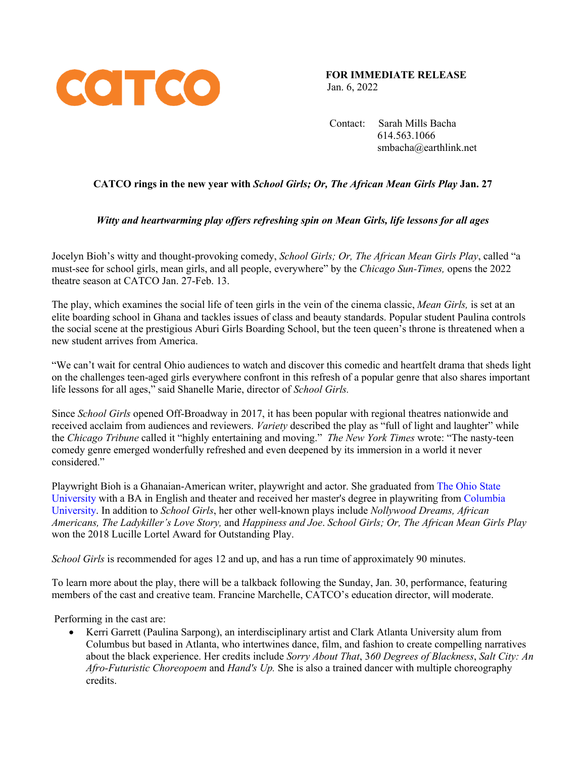

**FOR IMMEDIATE RELEASE** Jan. 6, 2022

 Contact: Sarah Mills Bacha 614.563.1066 smbacha@earthlink.net

# **CATCO rings in the new year with** *School Girls; Or, The African Mean Girls Play* **Jan. 27**

## *Witty and heartwarming play offers refreshing spin on Mean Girls, life lessons for all ages*

Jocelyn Bioh's witty and thought-provoking comedy, *School Girls; Or, The African Mean Girls Play*, called "a must-see for school girls, mean girls, and all people, everywhere" by the *Chicago Sun-Times,* opens the 2022 theatre season at CATCO Jan. 27-Feb. 13.

The play, which examines the social life of teen girls in the vein of the cinema classic, *Mean Girls,* is set at an elite boarding school in Ghana and tackles issues of class and beauty standards. Popular student Paulina controls the social scene at the prestigious Aburi Girls Boarding School, but the teen queen's throne is threatened when a new student arrives from America.

"We can't wait for central Ohio audiences to watch and discover this comedic and heartfelt drama that sheds light on the challenges teen-aged girls everywhere confront in this refresh of a popular genre that also shares important life lessons for all ages," said Shanelle Marie, director of *School Girls.* 

Since *School Girls* opened Off-Broadway in 2017, it has been popular with regional theatres nationwide and received acclaim from audiences and reviewers. *Variety* described the play as "full of light and laughter" while the *Chicago Tribune* called it "highly entertaining and moving." *The New York Times* wrote: "The nasty-teen comedy genre emerged wonderfully refreshed and even deepened by its immersion in a world it never considered."

Playwright Bioh is a Ghanaian-American writer, playwright and actor. She graduated from The Ohio State University with a BA in English and theater and received her master's degree in playwriting from Columbia University. In addition to *School Girls*, her other well-known plays include *Nollywood Dreams, African Americans, The Ladykiller's Love Story,* and *Happiness and Joe*. *School Girls; Or, The African Mean Girls Play* won the 2018 Lucille Lortel Award for Outstanding Play.

*School Girls* is recommended for ages 12 and up, and has a run time of approximately 90 minutes.

To learn more about the play, there will be a talkback following the Sunday, Jan. 30, performance, featuring members of the cast and creative team. Francine Marchelle, CATCO's education director, will moderate.

Performing in the cast are:

• Kerri Garrett (Paulina Sarpong), an interdisciplinary artist and Clark Atlanta University alum from Columbus but based in Atlanta, who intertwines dance, film, and fashion to create compelling narratives about the black experience. Her credits include *Sorry About That*, 3*60 Degrees of Blackness*, *Salt City: An Afro-Futuristic Choreopoem* and *Hand's Up.* She is also a trained dancer with multiple choreography credits.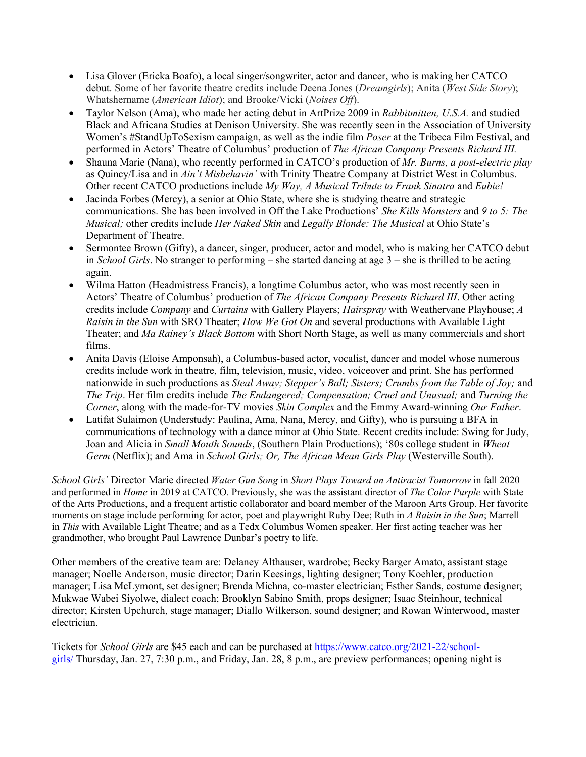- Lisa Glover (Ericka Boafo), a local singer/songwriter, actor and dancer, who is making her CATCO debut. Some of her favorite theatre credits include Deena Jones (*Dreamgirls*); Anita (*West Side Story*); Whatshername (*American Idiot*); and Brooke/Vicki (*Noises Off*).
- Taylor Nelson (Ama), who made her acting debut in ArtPrize 2009 in *Rabbitmitten, U.S.A.* and studied Black and Africana Studies at Denison University. She was recently seen in the Association of University Women's #StandUpToSexism campaign, as well as the indie film *Poser* at the Tribeca Film Festival, and performed in Actors' Theatre of Columbus' production of *The African Company Presents Richard III.*
- Shauna Marie (Nana), who recently performed in CATCO's production of *Mr. Burns, a post-electric play*  as Quincy/Lisa and in *Ain't Misbehavin'* with Trinity Theatre Company at District West in Columbus. Other recent CATCO productions include *My Way, A Musical Tribute to Frank Sinatra* and *Eubie!*
- Jacinda Forbes (Mercy), a senior at Ohio State, where she is studying theatre and strategic communications. She has been involved in Off the Lake Productions' *She Kills Monsters* and *9 to 5: The Musical;* other credits include *Her Naked Skin* and *Legally Blonde: The Musical* at Ohio State's Department of Theatre.
- Sermontee Brown (Gifty), a dancer, singer, producer, actor and model, who is making her CATCO debut in *School Girls*. No stranger to performing – she started dancing at age 3 – she is thrilled to be acting again.
- Wilma Hatton (Headmistress Francis), a longtime Columbus actor, who was most recently seen in Actors' Theatre of Columbus' production of *The African Company Presents Richard III*. Other acting credits include *Company* and *Curtains* with Gallery Players; *Hairspray* with Weathervane Playhouse; *A Raisin in the Sun* with SRO Theater; *How We Got On* and several productions with Available Light Theater; and *Ma Rainey's Black Bottom* with Short North Stage, as well as many commercials and short films.
- Anita Davis (Eloise Amponsah), a Columbus-based actor, vocalist, dancer and model whose numerous credits include work in theatre, film, television, music, video, voiceover and print. She has performed nationwide in such productions as *Steal Away; Stepper's Ball; Sisters; Crumbs from the Table of Joy;* and *The Trip*. Her film credits include *The Endangered; Compensation; Cruel and Unusual;* and *Turning the Corner*, along with the made-for-TV movies *Skin Complex* and the Emmy Award-winning *Our Father*.
- Latifat Sulaimon (Understudy: Paulina, Ama, Nana, Mercy, and Gifty), who is pursuing a BFA in communications of technology with a dance minor at Ohio State. Recent credits include: Swing for Judy, Joan and Alicia in *Small Mouth Sounds*, (Southern Plain Productions); '80s college student in *Wheat Germ* (Netflix); and Ama in *School Girls; Or, The African Mean Girls Play* (Westerville South).

*School Girls'* Director Marie directed *Water Gun Song* in *Short Plays Toward an Antiracist Tomorrow* in fall 2020 and performed in *Home* in 2019 at CATCO. Previously, she was the assistant director of *The Color Purple* with State of the Arts Productions, and a frequent artistic collaborator and board member of the Maroon Arts Group. Her favorite moments on stage include performing for actor, poet and playwright Ruby Dee; Ruth in *A Raisin in the Sun*; Marrell in *This* with Available Light Theatre; and as a Tedx Columbus Women speaker. Her first acting teacher was her grandmother, who brought Paul Lawrence Dunbar's poetry to life.

Other members of the creative team are: Delaney Althauser, wardrobe; Becky Barger Amato, assistant stage manager; Noelle Anderson, music director; Darin Keesings, lighting designer; Tony Koehler, production manager; Lisa McLymont, set designer; Brenda Michna, co-master electrician; Esther Sands, costume designer; Mukwae Wabei Siyolwe, dialect coach; Brooklyn Sabino Smith, props designer; Isaac Steinhour, technical director; Kirsten Upchurch, stage manager; Diallo Wilkerson, sound designer; and Rowan Winterwood, master electrician.

Tickets for *School Girls* are \$45 each and can be purchased at https://www.catco.org/2021-22/schoolgirls/ Thursday, Jan. 27, 7:30 p.m., and Friday, Jan. 28, 8 p.m., are preview performances; opening night is